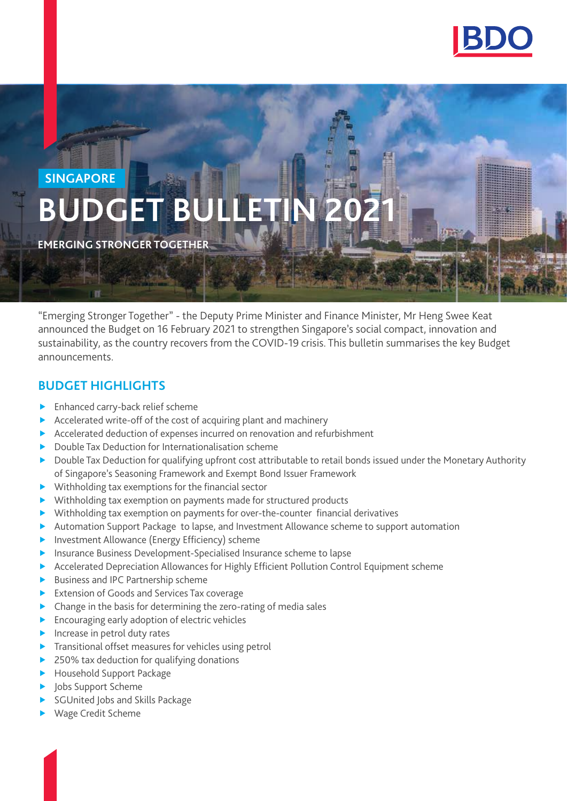

# **BUDGET BUL SINGAPORE**

**EMERGING STRONGER TOGETHER**

"Emerging Stronger Together" - the Deputy Prime Minister and Finance Minister, Mr Heng Swee Keat announced the Budget on 16 February 2021 to strengthen Singapore's social compact, innovation and sustainability, as the country recovers from the COVID-19 crisis. This bulletin summarises the key Budget announcements.

#### **BUDGET HIGHLIGHTS**

- $\blacktriangleright$  [Enhanced carry-back relief scheme](#page-1-0)
- $\triangleright$  Accelerated write-off of the cost of acquiring plant and machinery
- $\triangleright$  Accelerated deduction of expenses incurred on renovation and refurbishment
- $\blacktriangleright$  [Double Tax Deduction for Internationalisation scheme](#page-1-0)
- **Double Tax Deduction for qualifying upfront cost attributable to retail bonds issued under the Monetary Authority** [of Singapore's Seasoning Framework and Exempt Bond Issuer Framework](#page-1-0)
- $\blacktriangleright$  [Withholding tax exemptions for the financial sector](#page-2-0)
- $\blacktriangleright$  [Withholding tax exemption on payments made for structured products](#page-3-0)
- [Withholding tax exemption on payments for over-the-counter financial derivatives](#page-3-0)
- **EXT** [Automation Support Package to lapse, and Investment Allowance scheme to support automation](#page-3-0)
- $\blacktriangleright$  [Investment Allowance \(Energy Efficiency\) scheme](#page-3-0)
- **F** Insurance Business Development-Specialised Insurance scheme to lapse
- **F** [Accelerated Depreciation Allowances for Highly Efficient Pollution Control Equipment scheme](#page-3-0)
- $\blacktriangleright$  [Business and IPC Partnership scheme](#page-4-0)
- **[Extension of Goods and Services Tax coverage](#page-4-0)**
- $\triangleright$  [Change in the basis for determining the zero-rating of media sales](#page-4-0)
- $\blacktriangleright$  [Encouraging early adoption of electric vehicles](#page-4-0)
- $\blacktriangleright$  [Increase in petrol duty rates](#page-4-0)
- $\blacktriangleright$  [Transitional offset measures for vehicles using petrol](#page-4-0)
- $\blacktriangleright$  [250% tax deduction for qualifying donations](#page-4-0)
- [Household Support Package](#page-4-0)
- Jobs Support Scheme
- [SGUnited Jobs and Skills Package](#page-5-0)
- [Wage Credit Scheme](#page-5-0)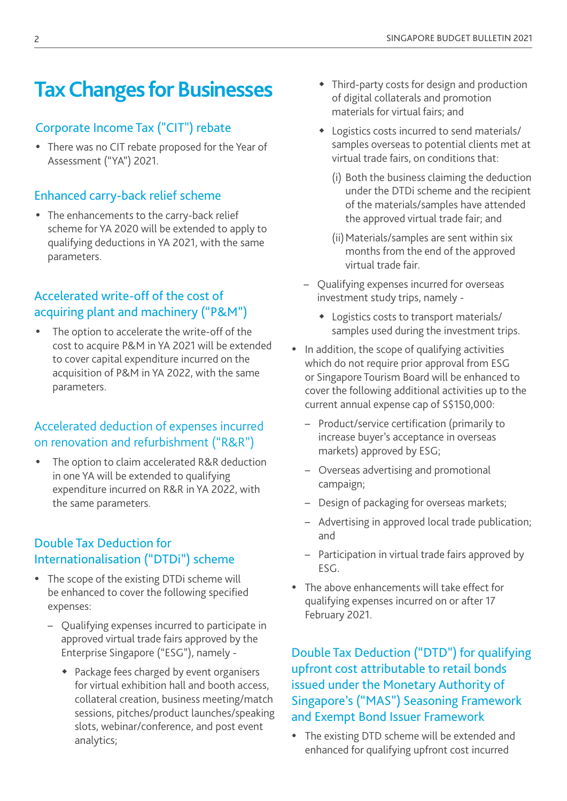## <span id="page-1-0"></span>**Tax Changes for Businesses**

## Corporate Income Tax ("CIT") rebate

• There was no CIT rebate proposed for the Year of Assessment ("YA") 2021.

## Enhanced carry-back relief scheme

• The enhancements to the carry-back relief scheme for YA 2020 will be extended to apply to qualifying deductions in YA 2021, with the same parameters.

## Accelerated write-off of the cost of acquiring plant and machinery ("P&M")

The option to accelerate the write-off of the cost to acquire P&M in YA 2021 will be extended to cover capital expenditure incurred on the acquisition of P&M in YA 2022, with the same parameters.

## Accelerated deduction of expenses incurred on renovation and refurbishment ("R&R")

The option to claim accelerated R&R deduction in one YA will be extended to qualifying expenditure incurred on R&R in YA 2022, with the same parameters.

## Double Tax Deduction for Internationalisation ("DTDi") scheme

- The scope of the existing DTDi scheme will be enhanced to cover the following specified expenses:
	- Qualifying expenses incurred to participate in approved virtual trade fairs approved by the Enterprise Singapore ("ESG"), namely -
		- Package fees charged by event organisers for virtual exhibition hall and booth access, collateral creation, business meeting/match sessions, pitches/product launches/speaking slots, webinar/conference, and post event analytics;
- Third-party costs for design and production of digital collaterals and promotion materials for virtual fairs; and
- Logistics costs incurred to send materials/ samples overseas to potential clients met at virtual trade fairs, on conditions that:
	- (i) Both the business claiming the deduction under the DTDi scheme and the recipient of the materials/samples have attended the approved virtual trade fair; and
	- (ii) Materials/samples are sent within six months from the end of the approved virtual trade fair.
- Qualifying expenses incurred for overseas investment study trips, namely -
	- Logistics costs to transport materials/ samples used during the investment trips.
- In addition, the scope of qualifying activities which do not require prior approval from ESG or Singapore Tourism Board will be enhanced to cover the following additional activities up to the current annual expense cap of S\$150,000:
	- Product/service certification (primarily to increase buyer's acceptance in overseas markets) approved by ESG;
	- Overseas advertising and promotional campaign;
	- Design of packaging for overseas markets;
	- Advertising in approved local trade publication; and
	- Participation in virtual trade fairs approved by ESG.
- The above enhancements will take effect for qualifying expenses incurred on or after 17 February 2021.

Double Tax Deduction ("DTD") for qualifying upfront cost attributable to retail bonds issued under the Monetary Authority of Singapore's ("MAS") Seasoning Framework and Exempt Bond Issuer Framework

• The existing DTD scheme will be extended and enhanced for qualifying upfront cost incurred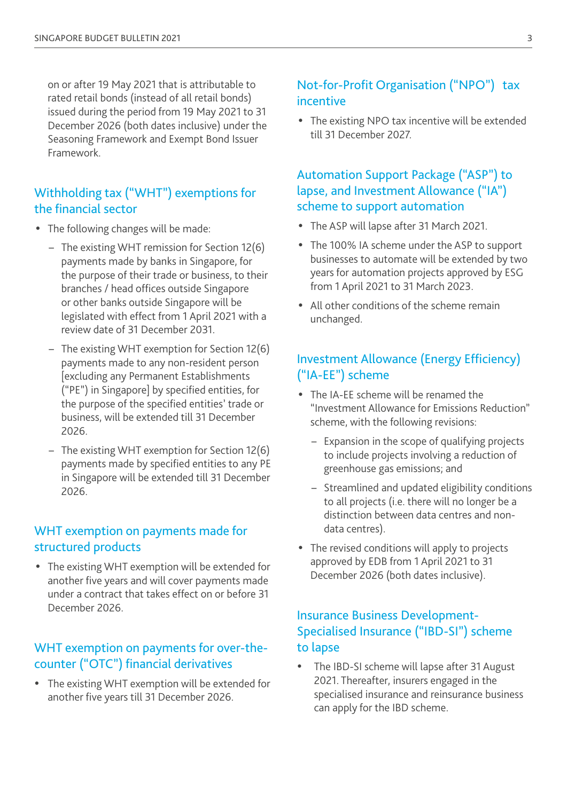<span id="page-2-0"></span>on or after 19 May 2021 that is attributable to rated retail bonds (instead of all retail bonds) issued during the period from 19 May 2021 to 31 December 2026 (both dates inclusive) under the Seasoning Framework and Exempt Bond Issuer Framework.

#### Withholding tax ("WHT") exemptions for the financial sector

- The following changes will be made:
	- The existing WHT remission for Section 12(6) payments made by banks in Singapore, for the purpose of their trade or business, to their branches / head offices outside Singapore or other banks outside Singapore will be legislated with effect from 1 April 2021 with a review date of 31 December 2031.
	- The existing WHT exemption for Section 12(6) payments made to any non-resident person [excluding any Permanent Establishments ("PE") in Singapore] by specified entities, for the purpose of the specified entities' trade or business, will be extended till 31 December 2026.
	- The existing WHT exemption for Section 12(6) payments made by specified entities to any PE in Singapore will be extended till 31 December 2026.

#### WHT exemption on payments made for structured products

• The existing WHT exemption will be extended for another five years and will cover payments made under a contract that takes effect on or before 31 December 2026.

#### WHT exemption on payments for over-thecounter ("OTC") financial derivatives

• The existing WHT exemption will be extended for another five years till 31 December 2026.

#### Not-for-Profit Organisation ("NPO") tax incentive

• The existing NPO tax incentive will be extended till 31 December 2027.

#### Automation Support Package ("ASP") to lapse, and Investment Allowance ("IA") scheme to support automation

- The ASP will lapse after 31 March 2021.
- The 100% IA scheme under the ASP to support businesses to automate will be extended by two years for automation projects approved by ESG from 1 April 2021 to 31 March 2023.
- All other conditions of the scheme remain unchanged.

#### Investment Allowance (Energy Efficiency) ("IA-EE") scheme

- The IA-EE scheme will be renamed the "Investment Allowance for Emissions Reduction" scheme, with the following revisions:
	- Expansion in the scope of qualifying projects to include projects involving a reduction of greenhouse gas emissions; and
	- Streamlined and updated eligibility conditions to all projects (i.e. there will no longer be a distinction between data centres and nondata centres).
- The revised conditions will apply to projects approved by EDB from 1 April 2021 to 31 December 2026 (both dates inclusive).

#### Insurance Business Development-Specialised Insurance ("IBD-SI") scheme to lapse

The IBD-SI scheme will lapse after 31 August 2021. Thereafter, insurers engaged in the specialised insurance and reinsurance business can apply for the IBD scheme.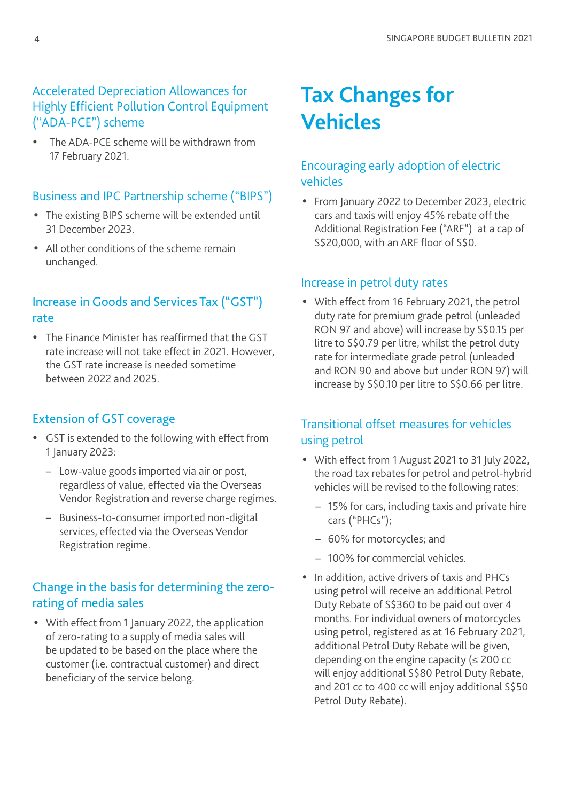## <span id="page-3-0"></span>Accelerated Depreciation Allowances for Highly Efficient Pollution Control Equipment ("ADA-PCE") scheme

The ADA-PCE scheme will be withdrawn from 17 February 2021.

#### Business and IPC Partnership scheme ("BIPS")

- The existing BIPS scheme will be extended until 31 December 2023.
- All other conditions of the scheme remain unchanged.

#### Increase in Goods and Services Tax ("GST") rate

• The Finance Minister has reaffirmed that the GST rate increase will not take effect in 2021. However, the GST rate increase is needed sometime between 2022 and 2025.

#### Extension of GST coverage

- GST is extended to the following with effect from 1 January 2023:
	- Low-value goods imported via air or post, regardless of value, effected via the Overseas Vendor Registration and reverse charge regimes.
	- Business-to-consumer imported non-digital services, effected via the Overseas Vendor Registration regime.

## Change in the basis for determining the zerorating of media sales

• With effect from 1 January 2022, the application of zero-rating to a supply of media sales will be updated to be based on the place where the customer (i.e. contractual customer) and direct beneficiary of the service belong.

# **Tax Changes for Vehicles**

#### Encouraging early adoption of electric vehicles

• From January 2022 to December 2023, electric cars and taxis will enjoy 45% rebate off the Additional Registration Fee ("ARF") at a cap of S\$20,000, with an ARF floor of S\$0.

#### Increase in petrol duty rates

• With effect from 16 February 2021, the petrol duty rate for premium grade petrol (unleaded RON 97 and above) will increase by S\$0.15 per litre to S\$0.79 per litre, whilst the petrol duty rate for intermediate grade petrol (unleaded and RON 90 and above but under RON 97) will increase by S\$0.10 per litre to S\$0.66 per litre.

#### Transitional offset measures for vehicles using petrol

- y With effect from 1 August 2021 to 31 July 2022, the road tax rebates for petrol and petrol-hybrid vehicles will be revised to the following rates:
	- 15% for cars, including taxis and private hire cars ("PHCs");
	- 60% for motorcycles; and
	- 100% for commercial vehicles.
- In addition, active drivers of taxis and PHCs using petrol will receive an additional Petrol Duty Rebate of S\$360 to be paid out over 4 months. For individual owners of motorcycles using petrol, registered as at 16 February 2021, additional Petrol Duty Rebate will be given, depending on the engine capacity ( $\leq$  200 cc will enjoy additional S\$80 Petrol Duty Rebate, and 201 cc to 400 cc will enjoy additional S\$50 Petrol Duty Rebate).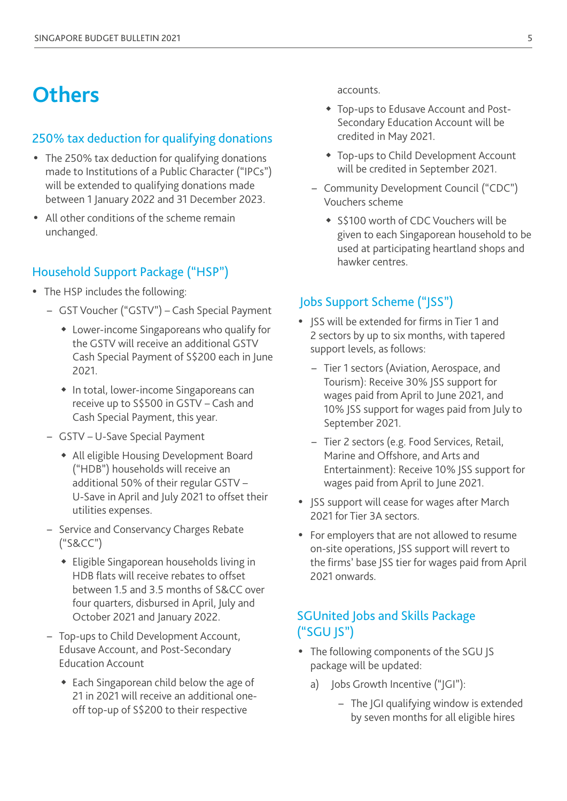## <span id="page-4-0"></span>**Others**

#### 250% tax deduction for qualifying donations

- The 250% tax deduction for qualifying donations made to Institutions of a Public Character ("IPCs") will be extended to qualifying donations made between 1 January 2022 and 31 December 2023.
- All other conditions of the scheme remain unchanged.

#### Household Support Package ("HSP")

- The HSP includes the following:
	- GST Voucher ("GSTV") Cash Special Payment
		- Lower-income Singaporeans who qualify for the GSTV will receive an additional GSTV Cash Special Payment of S\$200 each in June 2021.
		- In total, lower-income Singaporeans can receive up to S\$500 in GSTV – Cash and Cash Special Payment, this year.
	- GSTV U-Save Special Payment
		- All eligible Housing Development Board ("HDB") households will receive an additional 50% of their regular GSTV – U-Save in April and July 2021 to offset their utilities expenses.
	- Service and Conservancy Charges Rebate ("S&CC")
		- Eligible Singaporean households living in HDB flats will receive rebates to offset between 1.5 and 3.5 months of S&CC over four quarters, disbursed in April, July and October 2021 and January 2022.
	- Top-ups to Child Development Account, Edusave Account, and Post-Secondary Education Account
		- Each Singaporean child below the age of 21 in 2021 will receive an additional oneoff top-up of S\$200 to their respective

accounts.

- Top-ups to Edusave Account and Post-Secondary Education Account will be credited in May 2021.
- Top-ups to Child Development Account will be credited in September 2021.
- Community Development Council ("CDC") Vouchers scheme
	- S\$100 worth of CDC Vouchers will be given to each Singaporean household to be used at participating heartland shops and hawker centres.

#### Jobs Support Scheme ("JSS")

- ISS will be extended for firms in Tier 1 and 2 sectors by up to six months, with tapered support levels, as follows:
	- Tier 1 sectors (Aviation, Aerospace, and Tourism): Receive 30% JSS support for wages paid from April to June 2021, and 10% JSS support for wages paid from July to September 2021.
	- Tier 2 sectors (e.g. Food Services, Retail, Marine and Offshore, and Arts and Entertainment): Receive 10% JSS support for wages paid from April to June 2021.
- JSS support will cease for wages after March 2021 for Tier 3A sectors.
- For employers that are not allowed to resume on-site operations, JSS support will revert to the firms' base JSS tier for wages paid from April 2021 onwards.

#### SGUnited Jobs and Skills Package ("SGU JS")

- The following components of the SGU JS package will be updated:
	- a) Jobs Growth Incentive ("JGI"):
		- The JGI qualifying window is extended by seven months for all eligible hires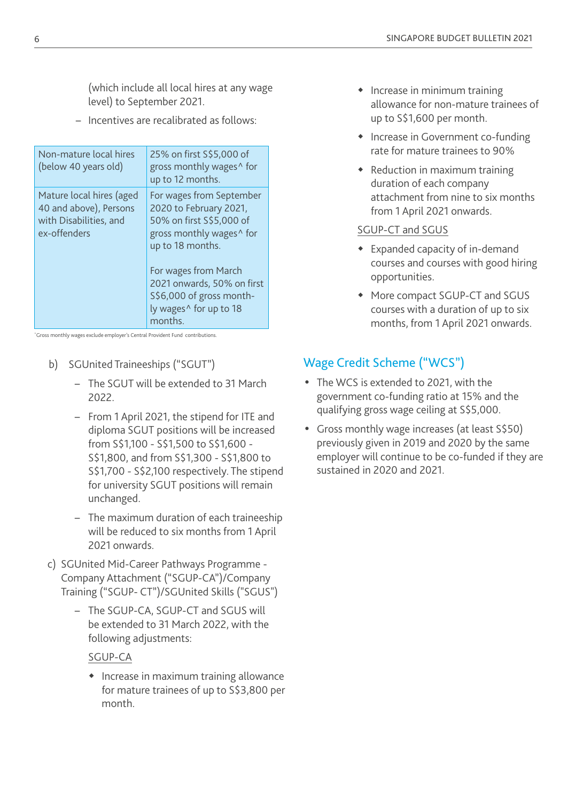<span id="page-5-0"></span>(which include all local hires at any wage level) to September 2021.

– Incentives are recalibrated as follows:

| Non-mature local hires<br>(below 40 years old)                                               | 25% on first S\$5,000 of<br>gross monthly wages <sup>^</sup> for<br>up to 12 months.                                                                                                                                                                                          |
|----------------------------------------------------------------------------------------------|-------------------------------------------------------------------------------------------------------------------------------------------------------------------------------------------------------------------------------------------------------------------------------|
| Mature local hires (aged<br>40 and above), Persons<br>with Disabilities, and<br>ex-offenders | For wages from September<br>2020 to February 2021,<br>50% on first S\$5,000 of<br>gross monthly wages <sup>^</sup> for<br>up to 18 months.<br>For wages from March<br>2021 onwards, 50% on first<br>S\$6,000 of gross month-<br>ly wages <sup>^</sup> for up to 18<br>months. |

^Gross monthly wages exclude employer's Central Provident Fund contributions.

- b) SGUnited Traineeships ("SGUT")
	- The SGUT will be extended to 31 March 2022.
	- From 1 April 2021, the stipend for ITE and diploma SGUT positions will be increased from S\$1,100 - S\$1,500 to S\$1,600 - S\$1,800, and from S\$1,300 - S\$1,800 to S\$1,700 - S\$2,100 respectively. The stipend for university SGUT positions will remain unchanged.
	- The maximum duration of each traineeship will be reduced to six months from 1 April 2021 onwards.
- c) SGUnited Mid-Career Pathways Programme Company Attachment ("SGUP-CA")/Company Training ("SGUP- CT")/SGUnited Skills ("SGUS")
	- The SGUP-CA, SGUP-CT and SGUS will be extended to 31 March 2022, with the following adjustments:

#### SGUP-CA

• Increase in maximum training allowance for mature trainees of up to S\$3,800 per month.

- Increase in minimum training allowance for non-mature trainees of up to S\$1,600 per month.
- Increase in Government co-funding rate for mature trainees to 90%
- Reduction in maximum training duration of each company attachment from nine to six months from 1 April 2021 onwards.

#### SGUP-CT and SGUS

- Expanded capacity of in-demand courses and courses with good hiring opportunities.
- More compact SGUP-CT and SGUS courses with a duration of up to six months, from 1 April 2021 onwards.

## Wage Credit Scheme ("WCS")

- The WCS is extended to 2021, with the government co-funding ratio at 15% and the qualifying gross wage ceiling at S\$5,000.
- Gross monthly wage increases (at least S\$50) previously given in 2019 and 2020 by the same employer will continue to be co-funded if they are sustained in 2020 and 2021.